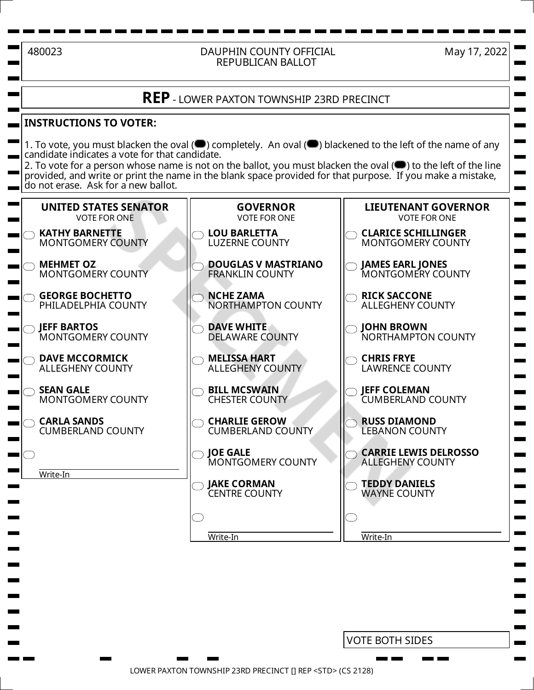## 480023 DAUPHIN COUNTY OFFICIAL REPUBLICAN BALLOT

## **REP** - LOWER PAXTON TOWNSHIP 23RD PRECINCT

## **INSTRUCTIONS TO VOTER:**

1. To vote, you must blacken the oval ( $\bigcirc$ ) completely. An oval ( $\bigcirc$ ) blackened to the left of the name of any candidate indicates a vote for that candidate.

2. To vote for a person whose name is not on the ballot, you must blacken the oval  $($ **)** to the left of the line provided, and write or print the name in the blank space provided for that purpose. If you make a mistake, do not erase. Ask for a new ballot.